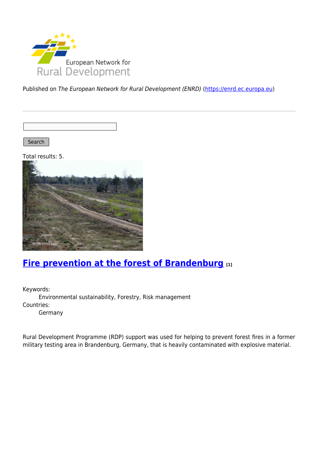

Published on The European Network for Rural Development (ENRD) [\(https://enrd.ec.europa.eu](https://enrd.ec.europa.eu))

Search |

Total results: 5.



### **[Fire prevention at the forest of Brandenburg](https://enrd.ec.europa.eu/projects-practice/fire-prevention-forest-brandenburg_en) [1]**

Keywords: Environmental sustainability, Forestry, Risk management Countries:

Germany

Rural Development Programme (RDP) support was used for helping to prevent forest fires in a former military testing area in Brandenburg, Germany, that is heavily contaminated with explosive material.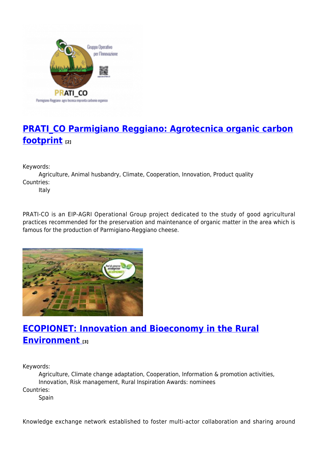

# **[PRATI\\_CO Parmigiano Reggiano: Agrotecnica organic carbon](https://enrd.ec.europa.eu/projects-practice/pratico-parmigiano-reggiano-agrotecnica-organic-carbon-footprint_en) [footprint](https://enrd.ec.europa.eu/projects-practice/pratico-parmigiano-reggiano-agrotecnica-organic-carbon-footprint_en) [2]**

Keywords:

Agriculture, Animal husbandry, Climate, Cooperation, Innovation, Product quality Countries:

Italy

PRATI-CO is an EIP-AGRI Operational Group project dedicated to the study of good agricultural practices recommended for the preservation and maintenance of organic matter in the area which is famous for the production of Parmigiano-Reggiano cheese.



# **[ECOPIONET: Innovation and Bioeconomy in the Rural](https://enrd.ec.europa.eu/projects-practice/ecopionet-innovation-and-bioeconomy-rural-environment_en) [Environment](https://enrd.ec.europa.eu/projects-practice/ecopionet-innovation-and-bioeconomy-rural-environment_en) [3]**

Keywords:

Agriculture, Climate change adaptation, Cooperation, Information & promotion activities, Innovation, Risk management, Rural Inspiration Awards: nominees Countries: **Spain** 

Knowledge exchange network established to foster multi-actor collaboration and sharing around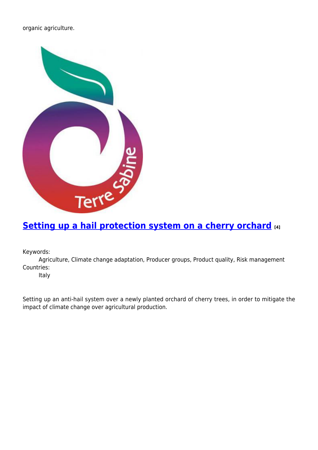organic agriculture.



## **[Setting up a hail protection system on a cherry orchard](https://enrd.ec.europa.eu/projects-practice/setting-hail-protection-system-cherry-orchard_en) [4]**

Keywords:

Agriculture, Climate change adaptation, Producer groups, Product quality, Risk management Countries:

Italy

Setting up an anti-hail system over a newly planted orchard of cherry trees, in order to mitigate the impact of climate change over agricultural production.